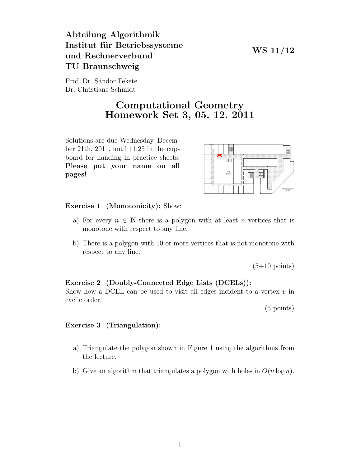### WS 11/12

# Abteilung Algorithmik Institut für Betriebssysteme und Rechnerverbund TU Braunschweig

Prof. Dr. Sándor Fekete Dr. Christiane Schmidt

## Computational Geometry Homework Set 3, 05. 12. 2011

Solutions are due Wednesday, December 21th, 2011, until 11:25 in the cupboard for handing in practice sheets. Please put your name on all pages!



Exercise 1 (Monotonicity): Show:

- a) For every  $n \in \mathbb{N}$  there is a polygon with at least n vertices that is monotone with respect to any line.
- b) There is a polygon with 10 or more vertices that is not monotone with respect to any line.

 $(5+10 \text{ points})$ 

### Exercise 2 (Doubly-Connected Edge Lists (DCELs)):

Show how a DCEL can be used to visit all edges incident to a vertex  $v$  in cyclic order.

(5 points)

### Exercise 3 (Triangulation):

- a) Triangulate the polygon shown in Figure 1 using the algorithms from the lecture.
- b) Give an algorithm that triangulates a polygon with holes in  $O(n \log n)$ .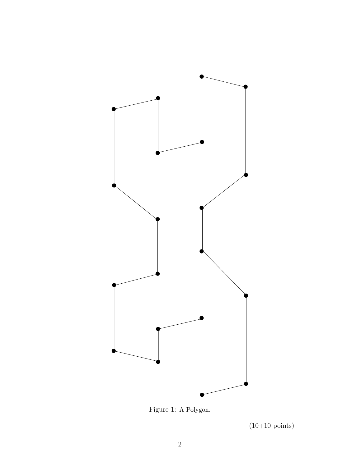

Figure 1: A Polygon.

 $(10+10 \text{ points})$